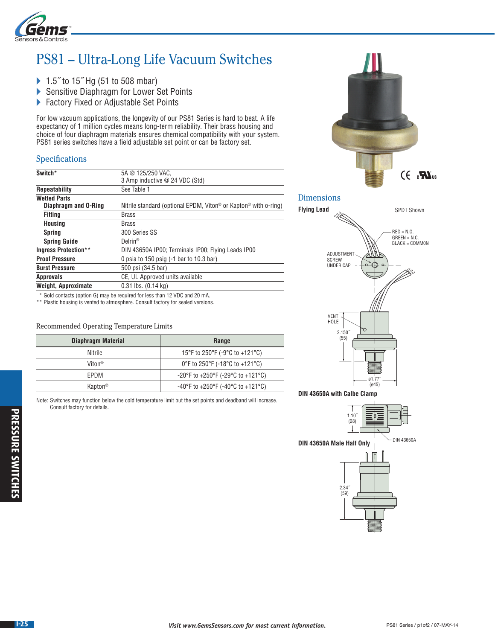

## PS81 – Ultra-Long Life Vacuum Switches

- ▶ 1.5<sup> $\degree$ </sup> to 15 $\degree$  Hg (51 to 508 mbar)
- Sensitive Diaphragm for Lower Set Points
- ▶ Factory Fixed or Adjustable Set Points

For low vacuum applications, the longevity of our PS81 Series is hard to beat. A life expectancy of 1 million cycles means long-term reliability. Their brass housing and choice of four diaphragm materials ensures chemical compatibility with your system. PS81 series switches have a field adjustable set point or can be factory set.

## Specifications

| Switch*                     | 5A @ 125/250 VAC.                                                                       |  |  |
|-----------------------------|-----------------------------------------------------------------------------------------|--|--|
|                             | 3 Amp inductive @ 24 VDC (Std)                                                          |  |  |
| <b>Repeatability</b>        | See Table 1                                                                             |  |  |
| <b>Wetted Parts</b>         |                                                                                         |  |  |
| Diaphragm and O-Ring        | Nitrile standard (optional EPDM, Viton <sup>®</sup> or Kapton <sup>®</sup> with o-ring) |  |  |
| <b>Fitting</b>              | <b>Brass</b>                                                                            |  |  |
| <b>Housing</b>              | <b>Brass</b>                                                                            |  |  |
| <b>Spring</b>               | 300 Series SS                                                                           |  |  |
| <b>Spring Guide</b>         | $Delrin^{\circledR}$                                                                    |  |  |
| <b>Ingress Protection**</b> | DIN 43650A IP00; Terminals IP00; Flying Leads IP00                                      |  |  |
| <b>Proof Pressure</b>       | 0 psia to 150 psig $(-1$ bar to 10.3 bar)                                               |  |  |
| <b>Burst Pressure</b>       | 500 psi (34.5 bar)                                                                      |  |  |
| <b>Approvals</b>            | CE, UL Approved units available                                                         |  |  |
| <b>Weight, Approximate</b>  | $0.31$ lbs. $(0.14$ kg)                                                                 |  |  |
|                             |                                                                                         |  |  |

\* Gold contacts (option G) may be required for less than 12 VDC and 20 mA.

\*\* Plastic housing is vented to atmosphere. Consult factory for sealed versions.

## Recommended Operating Temperature Limits

| Diaphragm Material  | Range                                                                      |  |
|---------------------|----------------------------------------------------------------------------|--|
| Nitrile             | 15°F to 250°F (-9°C to +121°C)                                             |  |
| Viton <sup>®</sup>  | 0°F to 250°F (-18°C to +121°C)                                             |  |
| FPDM                | $-20^{\circ}$ F to $+250^{\circ}$ F ( $-29^{\circ}$ C to $+121^{\circ}$ C) |  |
| Kapton <sup>®</sup> | $-40^{\circ}$ F to $+250^{\circ}$ F (-40 $^{\circ}$ C to $+121^{\circ}$ C) |  |

Note: Switches may function below the cold temperature limit but the set points and deadband will increase. Consult factory for details.



**DIN 43650A with Calbe Clamp**



(ø45)